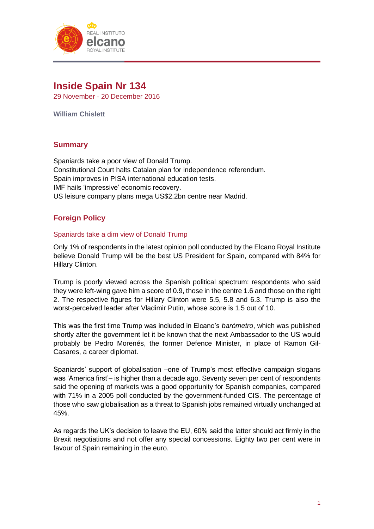

# **Inside Spain Nr 134**

29 November - 20 December 2016

**William Chislett**

## **Summary**

Spaniards take a poor view of Donald Trump. Constitutional Court halts Catalan plan for independence referendum. Spain improves in PISA international education tests. IMF hails 'impressive' economic recovery. US leisure company plans mega US\$2.2bn centre near Madrid.

# **Foreign Policy**

#### Spaniards take a dim view of Donald Trump

Only 1% of respondents in the latest opinion poll conducted by the Elcano Royal Institute believe Donald Trump will be the best US President for Spain, compared with 84% for Hillary Clinton.

Trump is poorly viewed across the Spanish political spectrum: respondents who said they were left-wing gave him a score of 0.9, those in the centre 1.6 and those on the right 2. The respective figures for Hillary Clinton were 5.5, 5.8 and 6.3. Trump is also the worst-perceived leader after Vladimir Putin, whose score is 1.5 out of 10.

This was the first time Trump was included in Elcano's *barómetro*, which was published shortly after the government let it be known that the next Ambassador to the US would probably be Pedro Morenés, the former Defence Minister, in place of Ramon Gil-Casares, a career diplomat.

Spaniards' support of globalisation –one of Trump's most effective campaign slogans was 'America first'– is higher than a decade ago. Seventy seven per cent of respondents said the opening of markets was a good opportunity for Spanish companies, compared with 71% in a 2005 poll conducted by the government-funded CIS. The percentage of those who saw globalisation as a threat to Spanish jobs remained virtually unchanged at 45%.

As regards the UK's decision to leave the EU, 60% said the latter should act firmly in the Brexit negotiations and not offer any special concessions. Eighty two per cent were in favour of Spain remaining in the euro.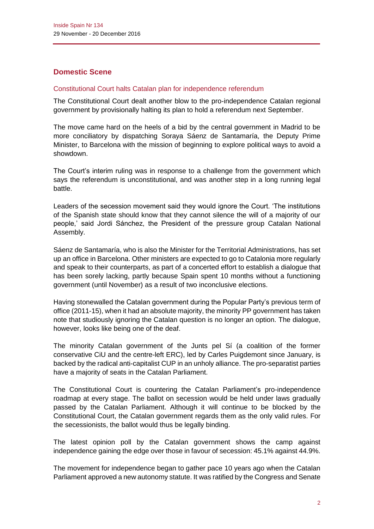# **Domestic Scene**

#### Constitutional Court halts Catalan plan for independence referendum

The Constitutional Court dealt another blow to the pro-independence Catalan regional government by provisionally halting its plan to hold a referendum next September.

The move came hard on the heels of a bid by the central government in Madrid to be more conciliatory by dispatching Soraya Sáenz de Santamaría, the Deputy Prime Minister, to Barcelona with the mission of beginning to explore political ways to avoid a showdown.

The Court's interim ruling was in response to a challenge from the government which says the referendum is unconstitutional, and was another step in a long running legal battle.

Leaders of the secession movement said they would ignore the Court. 'The institutions of the Spanish state should know that they cannot silence the will of a majority of our people,' said Jordi Sánchez, the President of the pressure group Catalan National Assembly.

Sáenz de Santamaría, who is also the Minister for the Territorial Administrations, has set up an office in Barcelona. Other ministers are expected to go to Catalonia more regularly and speak to their counterparts, as part of a concerted effort to establish a dialogue that has been sorely lacking, partly because Spain spent 10 months without a functioning government (until November) as a result of two inconclusive elections.

Having stonewalled the Catalan government during the Popular Party's previous term of office (2011-15), when it had an absolute majority, the minority PP government has taken note that studiously ignoring the Catalan question is no longer an option. The dialogue, however, looks like being one of the deaf.

The minority Catalan government of the Junts pel Sí (a coalition of the former conservative CiU and the centre-left ERC), led by Carles Puigdemont since January, is backed by the radical anti-capitalist CUP in an unholy alliance. The pro-separatist parties have a majority of seats in the Catalan Parliament.

The Constitutional Court is countering the Catalan Parliament's pro-independence roadmap at every stage. The ballot on secession would be held under laws gradually passed by the Catalan Parliament. Although it will continue to be blocked by the Constitutional Court, the Catalan government regards them as the only valid rules. For the secessionists, the ballot would thus be legally binding.

The latest opinion poll by the Catalan government shows the camp against independence gaining the edge over those in favour of secession: 45.1% against 44.9%.

The movement for independence began to gather pace 10 years ago when the Catalan Parliament approved a new autonomy statute. It was ratified by the Congress and Senate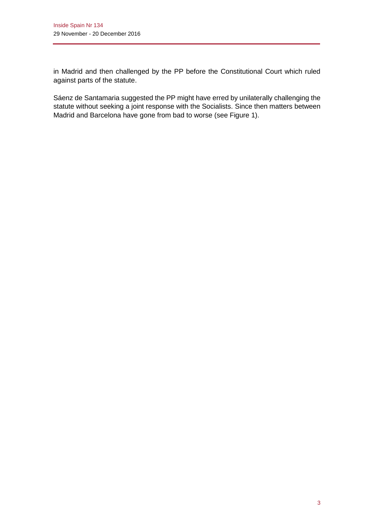in Madrid and then challenged by the PP before the Constitutional Court which ruled against parts of the statute.

Sáenz de Santamaria suggested the PP might have erred by unilaterally challenging the statute without seeking a joint response with the Socialists. Since then matters between Madrid and Barcelona have gone from bad to worse (see Figure 1).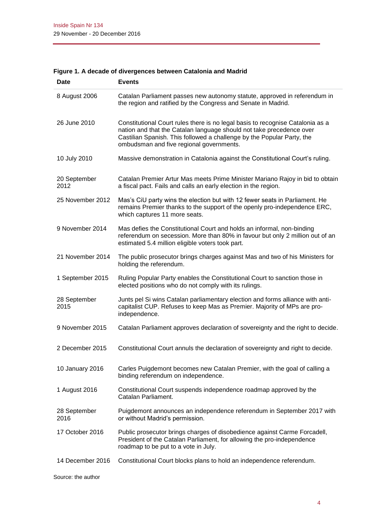| Date                 | <b>Events</b>                                                                                                                                                                                                                                                                |
|----------------------|------------------------------------------------------------------------------------------------------------------------------------------------------------------------------------------------------------------------------------------------------------------------------|
| 8 August 2006        | Catalan Parliament passes new autonomy statute, approved in referendum in<br>the region and ratified by the Congress and Senate in Madrid.                                                                                                                                   |
| 26 June 2010         | Constitutional Court rules there is no legal basis to recognise Catalonia as a<br>nation and that the Catalan language should not take precedence over<br>Castilian Spanish. This followed a challenge by the Popular Party, the<br>ombudsman and five regional governments. |
| 10 July 2010         | Massive demonstration in Catalonia against the Constitutional Court's ruling.                                                                                                                                                                                                |
| 20 September<br>2012 | Catalan Premier Artur Mas meets Prime Minister Mariano Rajoy in bid to obtain<br>a fiscal pact. Fails and calls an early election in the region.                                                                                                                             |
| 25 November 2012     | Mas's CiU party wins the election but with 12 fewer seats in Parliament. He<br>remains Premier thanks to the support of the openly pro-independence ERC,<br>which captures 11 more seats.                                                                                    |
| 9 November 2014      | Mas defies the Constitutional Court and holds an informal, non-binding<br>referendum on secession. More than 80% in favour but only 2 million out of an<br>estimated 5.4 million eligible voters took part.                                                                  |
| 21 November 2014     | The public prosecutor brings charges against Mas and two of his Ministers for<br>holding the referendum.                                                                                                                                                                     |
| 1 September 2015     | Ruling Popular Party enables the Constitutional Court to sanction those in<br>elected positions who do not comply with its rulings.                                                                                                                                          |
| 28 September<br>2015 | Junts pel Si wins Catalan parliamentary election and forms alliance with anti-<br>capitalist CUP. Refuses to keep Mas as Premier. Majority of MPs are pro-<br>independence.                                                                                                  |
| 9 November 2015      | Catalan Parliament approves declaration of sovereignty and the right to decide.                                                                                                                                                                                              |
| 2 December 2015      | Constitutional Court annuls the declaration of sovereignty and right to decide.                                                                                                                                                                                              |
| 10 January 2016      | Carles Puigdemont becomes new Catalan Premier, with the goal of calling a<br>binding referendum on independence.                                                                                                                                                             |
| 1 August 2016        | Constitutional Court suspends independence roadmap approved by the<br>Catalan Parliament.                                                                                                                                                                                    |
| 28 September<br>2016 | Puigdemont announces an independence referendum in September 2017 with<br>or without Madrid's permission.                                                                                                                                                                    |
| 17 October 2016      | Public prosecutor brings charges of disobedience against Carme Forcadell,<br>President of the Catalan Parliament, for allowing the pro-independence<br>roadmap to be put to a vote in July.                                                                                  |
| 14 December 2016     | Constitutional Court blocks plans to hold an independence referendum.                                                                                                                                                                                                        |

# **Figure 1. A decade of divergences between Catalonia and Madrid**

Source: the author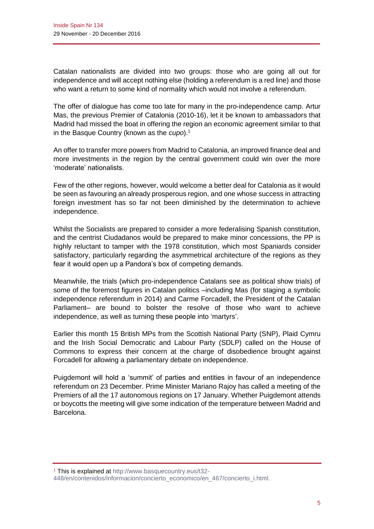Catalan nationalists are divided into two groups: those who are going all out for independence and will accept nothing else (holding a referendum is a red line) and those who want a return to some kind of normality which would not involve a referendum.

The offer of dialogue has come too late for many in the pro-independence camp. Artur Mas, the previous Premier of Catalonia (2010-16), let it be known to ambassadors that Madrid had missed the boat in offering the region an economic agreement similar to that in the Basque Country (known as the *cupo*). 1

An offer to transfer more powers from Madrid to Catalonia, an improved finance deal and more investments in the region by the central government could win over the more 'moderate' nationalists.

Few of the other regions, however, would welcome a better deal for Catalonia as it would be seen as favouring an already prosperous region, and one whose success in attracting foreign investment has so far not been diminished by the determination to achieve independence.

Whilst the Socialists are prepared to consider a more federalising Spanish constitution, and the centrist Ciudadanos would be prepared to make minor concessions, the PP is highly reluctant to tamper with the 1978 constitution, which most Spaniards consider satisfactory, particularly regarding the asymmetrical architecture of the regions as they fear it would open up a Pandora's box of competing demands.

Meanwhile, the trials (which pro-independence Catalans see as political show trials) of some of the foremost figures in Catalan politics –including Mas (for staging a symbolic independence referendum in 2014) and Carme Forcadell, the President of the Catalan Parliament– are bound to bolster the resolve of those who want to achieve independence, as well as turning these people into 'martyrs'.

Earlier this month 15 British MPs from the Scottish National Party (SNP), Plaid Cymru and the Irish Social Democratic and Labour Party (SDLP) called on the House of Commons to express their concern at the charge of disobedience brought against Forcadell for allowing a parliamentary debate on independence.

Puigdemont will hold a 'summit' of parties and entities in favour of an independence referendum on 23 December. Prime Minister Mariano Rajoy has called a meeting of the Premiers of all the 17 autonomous regions on 17 January. Whether Puigdemont attends or boycotts the meeting will give some indication of the temperature between Madrid and Barcelona.

<sup>1</sup> This is explained at [http://www.basquecountry.eus/t32-](http://www.basquecountry.eus/t32-448/en/contenidos/informacion/concierto_economico/en_467/concierto_i.html)

[<sup>448/</sup>en/contenidos/informacion/concierto\\_economico/en\\_467/concierto\\_i.html.](http://www.basquecountry.eus/t32-448/en/contenidos/informacion/concierto_economico/en_467/concierto_i.html)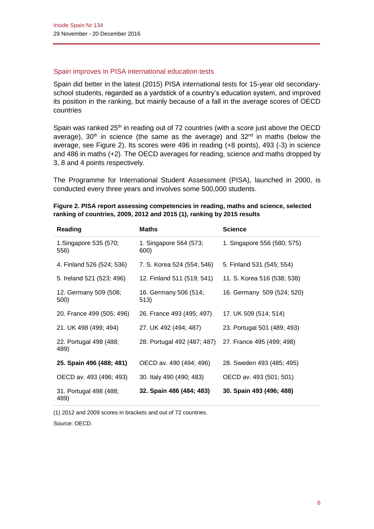#### Spain improves in PISA international education tests

Spain did better in the latest (2015) PISA international tests for 15-year old secondaryschool students, regarded as a yardstick of a country's education system, and improved its position in the ranking, but mainly because of a fall in the average scores of OECD countries

Spain was ranked 25<sup>th</sup> in reading out of 72 countries (with a score just above the OECD average),  $30<sup>th</sup>$  in science (the same as the average) and  $32<sup>nd</sup>$  in maths (below the average, see Figure 2). Its scores were 496 in reading (+8 points), 493 (-3) in science and 486 in maths (+2). The OECD averages for reading, science and maths dropped by 3, 8 and 4 points respectively.

The Programme for International Student Assessment (PISA), launched in 2000, is conducted every three years and involves some 500,000 students.

| Reading                        | <b>Maths</b>                                          | <b>Science</b>              |
|--------------------------------|-------------------------------------------------------|-----------------------------|
| 1. Singapore 535 (570;<br>556) | 1. Singapore 564 (573;<br>600)                        | 1. Singapore 556 (580; 575) |
| 4. Finland 526 (524; 536)      | 7. S. Korea 524 (554; 546)                            | 5. Finland 531 (545; 554)   |
| 5. Ireland 521 (523; 496)      | 12. Finland 511 (519; 541)                            | 11. S. Korea 516 (538; 538) |
| 12. Germany 509 (508;<br>500)  | 16. Germany 506 (514;<br>513)                         | 16. Germany 509 (524; 520)  |
| 20. France 499 (505; 496)      | 26. France 493 (495; 497)                             | 17. UK 509 (514; 514)       |
| 21. UK 498 (499; 494)          | 27. UK 492 (494; 487)                                 | 23. Portugal 501 (489; 493) |
| 22. Portugal 498 (488;<br>489) | 28. Portugal 492 (487; 487) 27. France 495 (499; 498) |                             |
| 25. Spain 496 (488; 481)       | OECD av. 490 (494; 496)                               | 28. Sweden 493 (485; 495)   |
| OECD av. 493 (496; 493)        | 30. Italy 490 (490; 483)                              | OECD av. 493 (501; 501)     |
| 31. Portugal 498 (488;<br>489) | 32. Spain 486 (484; 483)                              | 30. Spain 493 (496; 488)    |

|  |                                                                        |  | Figure 2. PISA report assessing competencies in reading, maths and science, selected |  |
|--|------------------------------------------------------------------------|--|--------------------------------------------------------------------------------------|--|
|  | ranking of countries, 2009, 2012 and 2015 (1), ranking by 2015 results |  |                                                                                      |  |

(1) 2012 and 2009 scores in brackets and out of 72 countries.

Source: OECD.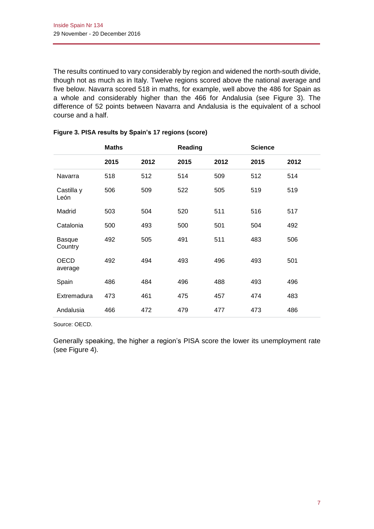The results continued to vary considerably by region and widened the north-south divide, though not as much as in Italy. Twelve regions scored above the national average and five below. Navarra scored 518 in maths, for example, well above the 486 for Spain as a whole and considerably higher than the 466 for Andalusia (see Figure 3). The difference of 52 points between Navarra and Andalusia is the equivalent of a school course and a half.

|                          | <b>Maths</b> |      | Reading |      | <b>Science</b> |      |
|--------------------------|--------------|------|---------|------|----------------|------|
|                          | 2015         | 2012 | 2015    | 2012 | 2015           | 2012 |
| Navarra                  | 518          | 512  | 514     | 509  | 512            | 514  |
| Castilla y<br>León       | 506          | 509  | 522     | 505  | 519            | 519  |
| Madrid                   | 503          | 504  | 520     | 511  | 516            | 517  |
| Catalonia                | 500          | 493  | 500     | 501  | 504            | 492  |
| <b>Basque</b><br>Country | 492          | 505  | 491     | 511  | 483            | 506  |
| OECD<br>average          | 492          | 494  | 493     | 496  | 493            | 501  |
| Spain                    | 486          | 484  | 496     | 488  | 493            | 496  |
| Extremadura              | 473          | 461  | 475     | 457  | 474            | 483  |
| Andalusia                | 466          | 472  | 479     | 477  | 473            | 486  |

#### **Figure 3. PISA results by Spain's 17 regions (score)**

Source: OECD.

Generally speaking, the higher a region's PISA score the lower its unemployment rate (see Figure 4).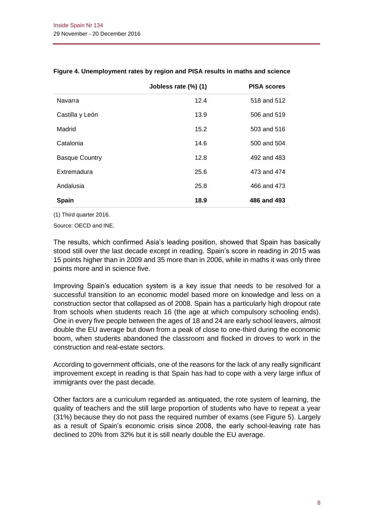|                       | Jobless rate (%) (1) | <b>PISA scores</b> |
|-----------------------|----------------------|--------------------|
| Navarra               | 12.4                 | 518 and 512        |
| Castilla y León       | 13.9                 | 506 and 519        |
| Madrid                | 15.2                 | 503 and 516        |
| Catalonia             | 14.6                 | 500 and 504        |
| <b>Basque Country</b> | 12.8                 | 492 and 483        |
| Extremadura           | 25.6                 | 473 and 474        |
| Andalusia             | 25.8                 | 466 and 473        |
| <b>Spain</b>          | 18.9                 | 486 and 493        |

#### **Figure 4. Unemployment rates by region and PISA results in maths and science**

(1) Third quarter 2016.

Source: OECD and INE.

The results, which confirmed Asia's leading position, showed that Spain has basically stood still over the last decade except in reading. Spain's score in reading in 2015 was 15 points higher than in 2009 and 35 more than in 2006, while in maths it was only three points more and in science five.

Improving Spain's education system is a key issue that needs to be resolved for a successful transition to an economic model based more on knowledge and less on a construction sector that collapsed as of 2008. Spain has a particularly high dropout rate from schools when students reach 16 (the age at which compulsory schooling ends). One in every five people between the ages of 18 and 24 are early school leavers, almost double the EU average but down from a peak of close to one-third during the economic boom, when students abandoned the classroom and flocked in droves to work in the construction and real-estate sectors.

According to government officials, one of the reasons for the lack of any really significant improvement except in reading is that Spain has had to cope with a very large influx of immigrants over the past decade.

Other factors are a curriculum regarded as antiquated, the rote system of learning, the quality of teachers and the still large proportion of students who have to repeat a year (31%) because they do not pass the required number of exams (see Figure 5). Largely as a result of Spain's economic crisis since 2008, the early school-leaving rate has declined to 20% from 32% but it is still nearly double the EU average.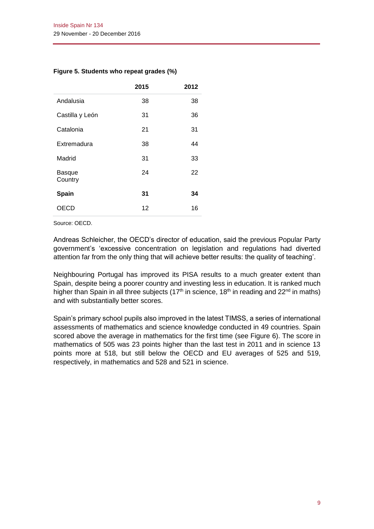#### **Figure 5. Students who repeat grades (%)**

|                          | 2015 | 2012 |
|--------------------------|------|------|
| Andalusia                | 38   | 38   |
| Castilla y León          | 31   | 36   |
| Catalonia                | 21   | 31   |
| Extremadura              | 38   | 44   |
| Madrid                   | 31   | 33   |
| <b>Basque</b><br>Country | 24   | 22   |
| Spain                    | 31   | 34   |
| OECD                     | 12   | 16   |

Source: OECD.

Andreas Schleicher, the OECD's director of education, said the previous Popular Party government's 'excessive concentration on legislation and regulations had diverted attention far from the only thing that will achieve better results: the quality of teaching'.

Neighbouring Portugal has improved its PISA results to a much greater extent than Spain, despite being a poorer country and investing less in education. It is ranked much higher than Spain in all three subjects (17<sup>th</sup> in science, 18<sup>th</sup> in reading and 22<sup>nd</sup> in maths) and with substantially better scores.

Spain's primary school pupils also improved in the latest TIMSS, a series of international assessments of mathematics and science knowledge conducted in 49 countries. Spain scored above the average in mathematics for the first time (see Figure 6). The score in mathematics of 505 was 23 points higher than the last test in 2011 and in science 13 points more at 518, but still below the OECD and EU averages of 525 and 519, respectively, in mathematics and 528 and 521 in science.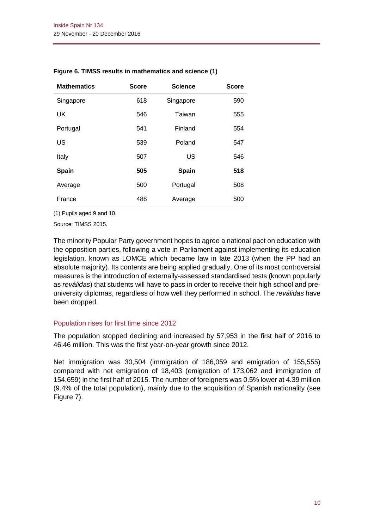| <b>Mathematics</b> | <b>Score</b> | <b>Science</b> | <b>Score</b> |
|--------------------|--------------|----------------|--------------|
| Singapore          | 618          | Singapore      | 590          |
| <b>UK</b>          | 546          | Taiwan         | 555          |
| Portugal           | 541          | Finland        | 554          |
| US                 | 539          | Poland         | 547          |
| Italy              | 507          | <b>US</b>      | 546          |
| <b>Spain</b>       | 505          | Spain          | 518          |
| Average            | 500          | Portugal       | 508          |
| France             | 488          | Average        | 500          |

#### **Figure 6. TIMSS results in mathematics and science (1)**

(1) Pupils aged 9 and 10.

Source: TIMSS 2015.

The minority Popular Party government hopes to agree a national pact on education with the opposition parties, following a vote in Parliament against implementing its education legislation, known as LOMCE which became law in late 2013 (when the PP had an absolute majority). Its contents are being applied gradually. One of its most controversial measures is the introduction of externally-assessed standardised tests (known popularly as *reválidas*) that students will have to pass in order to receive their high school and preuniversity diplomas, regardless of how well they performed in school. The *reválidas* have been dropped.

#### Population rises for first time since 2012

The population stopped declining and increased by 57,953 in the first half of 2016 to 46.46 million. This was the first year-on-year growth since 2012.

Net immigration was 30,504 (immigration of 186,059 and emigration of 155,555) compared with net emigration of 18,403 (emigration of 173,062 and immigration of 154,659) in the first half of 2015. The number of foreigners was 0.5% lower at 4.39 million (9.4% of the total population), mainly due to the acquisition of Spanish nationality (see Figure 7).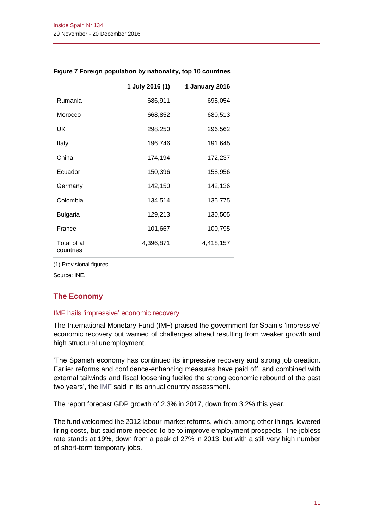|                           | 1 July 2016 (1) | 1 January 2016 |
|---------------------------|-----------------|----------------|
| Rumania                   | 686,911         | 695,054        |
| Morocco                   | 668,852         | 680,513        |
| UK                        | 298,250         | 296,562        |
| Italy                     | 196,746         | 191,645        |
| China                     | 174,194         | 172,237        |
| Ecuador                   | 150,396         | 158,956        |
| Germany                   | 142,150         | 142,136        |
| Colombia                  | 134,514         | 135,775        |
| <b>Bulgaria</b>           | 129,213         | 130,505        |
| France                    | 101,667         | 100,795        |
| Total of all<br>countries | 4,396,871       | 4,418,157      |

#### **Figure 7 Foreign population by nationality, top 10 countries**

(1) Provisional figures.

Source: INE.

## **The Economy**

#### IMF hails 'impressive' economic recovery

The International Monetary Fund (IMF) praised the government for Spain's 'impressive' economic recovery but warned of challenges ahead resulting from weaker growth and high structural unemployment.

'The Spanish economy has continued its impressive recovery and strong job creation. Earlier reforms and confidence-enhancing measures have paid off, and combined with external tailwinds and fiscal loosening fuelled the strong economic rebound of the past two years', the [IMF](http://www.imf.org/en/news/articles/2016/12/13/ms121316-spain-staff-concluding-statement-of-article-iv-mission) said in its annual country assessment.

The report forecast GDP growth of 2.3% in 2017, down from 3.2% this year.

The fund welcomed the 2012 labour-market reforms, which, among other things, lowered firing costs, but said more needed to be to improve employment prospects. The jobless rate stands at 19%, down from a peak of 27% in 2013, but with a still very high number of short-term temporary jobs.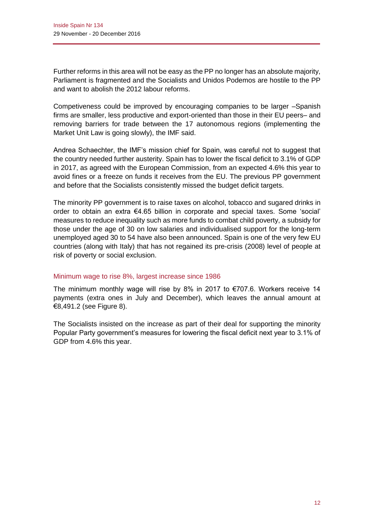Further reforms in this area will not be easy as the PP no longer has an absolute majority, Parliament is fragmented and the Socialists and Unidos Podemos are hostile to the PP and want to abolish the 2012 labour reforms.

Competiveness could be improved by encouraging companies to be larger –Spanish firms are smaller, less productive and export-oriented than those in their EU peers– and removing barriers for trade between the 17 autonomous regions (implementing the Market Unit Law is going slowly), the IMF said.

Andrea Schaechter, the IMF's mission chief for Spain, was careful not to suggest that the country needed further austerity. Spain has to lower the fiscal deficit to 3.1% of GDP in 2017, as agreed with the European Commission, from an expected 4.6% this year to avoid fines or a freeze on funds it receives from the EU. The previous PP government and before that the Socialists consistently missed the budget deficit targets.

The minority PP government is to raise taxes on alcohol, tobacco and sugared drinks in order to obtain an extra €4.65 billion in corporate and special taxes. Some 'social' measures to reduce inequality such as more funds to combat child poverty, a subsidy for those under the age of 30 on low salaries and individualised support for the long-term unemployed aged 30 to 54 have also been announced. Spain is one of the very few EU countries (along with Italy) that has not regained its pre-crisis (2008) level of people at risk of poverty or social exclusion.

#### Minimum wage to rise 8%, largest increase since 1986

The minimum monthly wage will rise by 8% in 2017 to €707.6. Workers receive 14 payments (extra ones in July and December), which leaves the annual amount at €8,491.2 (see Figure 8).

The Socialists insisted on the increase as part of their deal for supporting the minority Popular Party government's measures for lowering the fiscal deficit next year to 3.1% of GDP from 4.6% this year.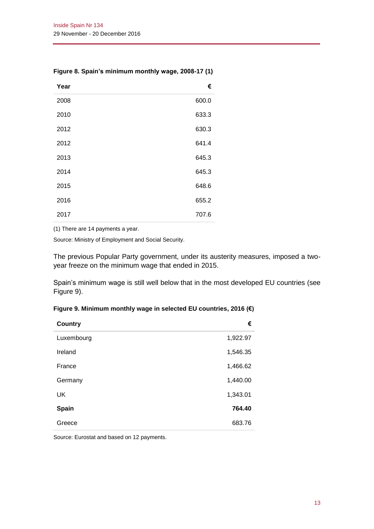| Year | €     |
|------|-------|
| 2008 | 600.0 |
| 2010 | 633.3 |
| 2012 | 630.3 |
| 2012 | 641.4 |
| 2013 | 645.3 |
| 2014 | 645.3 |
| 2015 | 648.6 |
| 2016 | 655.2 |
| 2017 | 707.6 |

#### **Figure 8. Spain's minimum monthly wage, 2008-17 (1)**

(1) There are 14 payments a year.

Source: Ministry of Employment and Social Security.

The previous Popular Party government, under its austerity measures, imposed a twoyear freeze on the minimum wage that ended in 2015.

Spain's minimum wage is still well below that in the most developed EU countries (see Figure 9).

| Figure 9. Minimum monthly wage in selected EU countries, 2016 (€) |  |  |  |  |  |  |  |
|-------------------------------------------------------------------|--|--|--|--|--|--|--|
|-------------------------------------------------------------------|--|--|--|--|--|--|--|

| <b>Country</b> | €        |
|----------------|----------|
| Luxembourg     | 1,922.97 |
| Ireland        | 1,546.35 |
| France         | 1,466.62 |
| Germany        | 1,440.00 |
| UK             | 1,343.01 |
| Spain          | 764.40   |
| Greece         | 683.76   |

Source: Eurostat and based on 12 payments.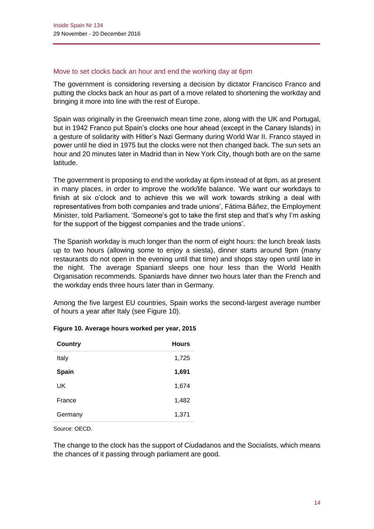#### Move to set clocks back an hour and end the working day at 6pm

The government is considering reversing a decision by dictator Francisco Franco and putting the clocks back an hour as part of a move related to shortening the workday and bringing it more into line with the rest of Europe.

Spain was originally in the Greenwich mean time zone, along with the UK and Portugal, but in 1942 Franco put Spain's clocks one hour ahead (except in the Canary Islands) in a gesture of solidarity with Hitler's Nazi Germany during World War II. Franco stayed in power until he died in 1975 but the clocks were not then changed back. The sun sets an hour and 20 minutes later in Madrid than in New York City, though both are on the same latitude.

The government is proposing to end the workday at 6pm instead of at 8pm, as at present in many places, in order to improve the work/life balance. 'We want our workdays to finish at six o'clock and to achieve this we will work towards striking a deal with representatives from both companies and trade unions', Fátima Báñez, the Employment Minister, told Parliament. 'Someone's got to take the first step and that's why I'm asking for the support of the biggest companies and the trade unions'.

The Spanish workday is much longer than the norm of eight hours: the lunch break lasts up to two hours (allowing some to enjoy a siesta), dinner starts around 9pm (many restaurants do not open in the evening until that time) and shops stay open until late in the night. The average Spaniard sleeps one hour less than the World Health Organisation recommends. Spaniards have dinner two hours later than the French and the workday ends three hours later than in Germany.

Among the five largest EU countries, Spain works the second-largest average number of hours a year after Italy (see Figure 10).

| <b>Hours</b> |
|--------------|
| 1,725        |
| 1,691        |
| 1,674        |
| 1,482        |
| 1,371        |
|              |

#### **Figure 10. Average hours worked per year, 2015**

Source: OECD.

The change to the clock has the support of Ciudadanos and the Socialists, which means the chances of it passing through parliament are good.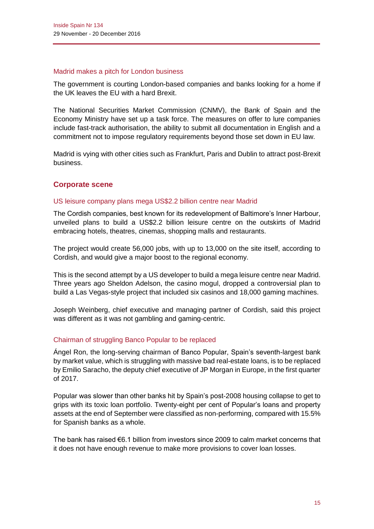#### Madrid makes a pitch for London business

The government is courting London-based companies and banks looking for a home if the UK leaves the EU with a hard Brexit.

The National Securities Market Commission (CNMV), the Bank of Spain and the Economy Ministry have set up a task force. The measures on offer to lure companies include fast-track authorisation, the ability to submit all documentation in English and a commitment not to impose regulatory requirements beyond those set down in EU law.

Madrid is vying with other cities such as Frankfurt, Paris and Dublin to attract post-Brexit business.

### **Corporate scene**

#### US leisure company plans mega US\$2.2 billion centre near Madrid

The Cordish companies, best known for its redevelopment of Baltimore's Inner Harbour, unveiled plans to build a US\$2.2 billion leisure centre on the outskirts of Madrid embracing hotels, theatres, cinemas, shopping malls and restaurants.

The project would create 56,000 jobs, with up to 13,000 on the site itself, according to Cordish, and would give a major boost to the regional economy.

This is the second attempt by a US developer to build a mega leisure centre near Madrid. Three years ago Sheldon Adelson, the casino mogul, dropped a controversial plan to build a Las Vegas-style project that included six casinos and 18,000 gaming machines.

Joseph Weinberg, chief executive and managing partner of Cordish, said this project was different as it was not gambling and gaming-centric.

#### Chairman of struggling Banco Popular to be replaced

Ángel Ron, the long-serving chairman of Banco Popular, Spain's seventh-largest bank by market value, which is struggling with massive bad real-estate loans, is to be replaced by Emilio Saracho, the deputy chief executive of JP Morgan in Europe, in the first quarter of 2017.

Popular was slower than other banks hit by Spain's post-2008 housing collapse to get to grips with its toxic loan portfolio. Twenty-eight per cent of Popular's loans and property assets at the end of September were classified as non-performing, compared with 15.5% for Spanish banks as a whole.

The bank has raised €6.1 billion from investors since 2009 to calm market concerns that it does not have enough revenue to make more provisions to cover loan losses.